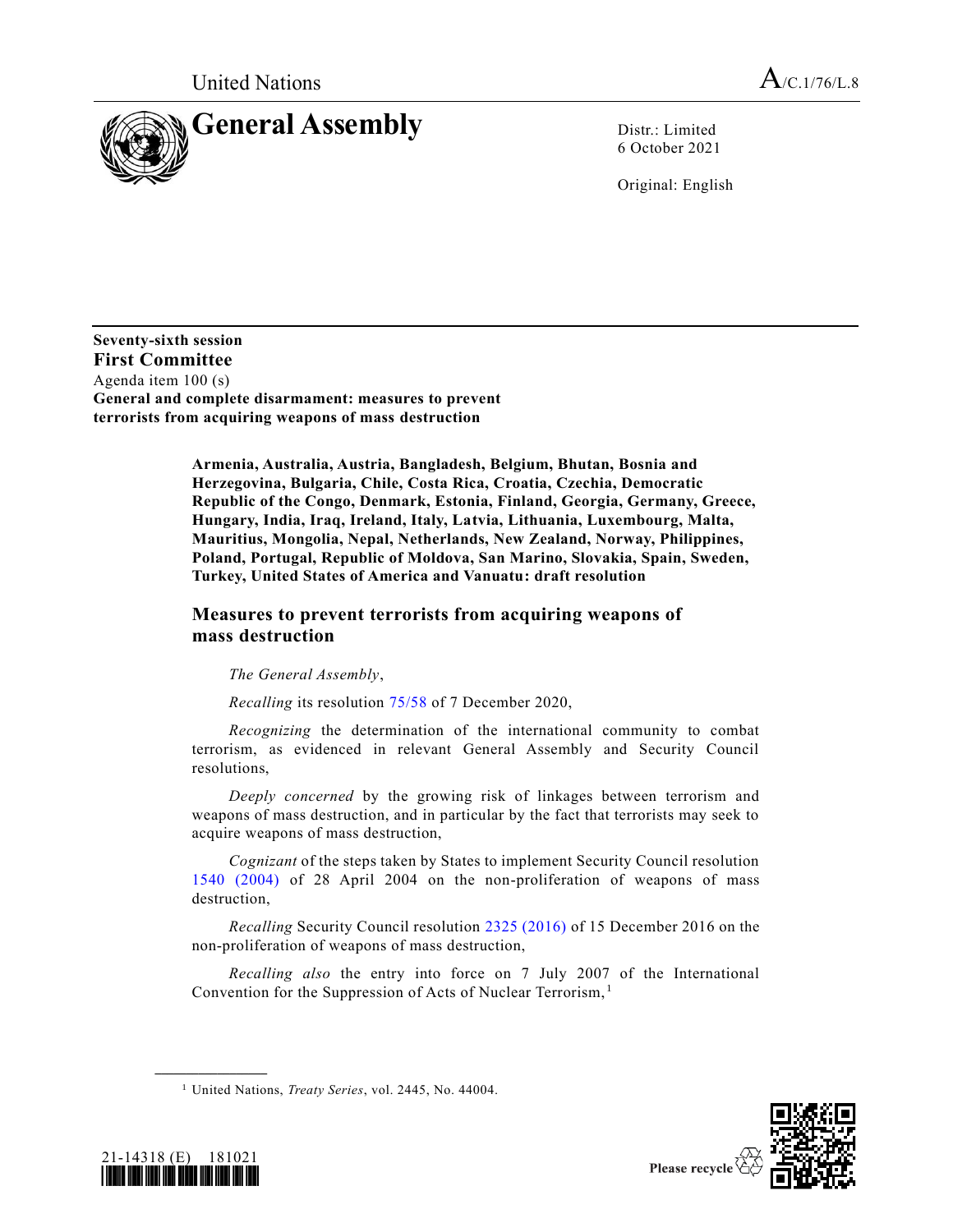

6 October 2021

Original: English

**Seventy-sixth session First Committee** Agenda item 100 (s) **General and complete disarmament: measures to prevent terrorists from acquiring weapons of mass destruction**

> **Armenia, Australia, Austria, Bangladesh, Belgium, Bhutan, Bosnia and Herzegovina, Bulgaria, Chile, Costa Rica, Croatia, Czechia, Democratic Republic of the Congo, Denmark, Estonia, Finland, Georgia, Germany, Greece, Hungary, India, Iraq, Ireland, Italy, Latvia, Lithuania, Luxembourg, Malta, Mauritius, Mongolia, Nepal, Netherlands, New Zealand, Norway, Philippines, Poland, Portugal, Republic of Moldova, San Marino, Slovakia, Spain, Sweden, Turkey, United States of America and Vanuatu: draft resolution**

## **Measures to prevent terrorists from acquiring weapons of mass destruction**

*The General Assembly*,

*Recalling* its resolution [75/58](https://undocs.org/en/A/RES/75/58) of 7 December 2020,

*Recognizing* the determination of the international community to combat terrorism, as evidenced in relevant General Assembly and Security Council resolutions,

*Deeply concerned* by the growing risk of linkages between terrorism and weapons of mass destruction, and in particular by the fact that terrorists may seek to acquire weapons of mass destruction,

*Cognizant* of the steps taken by States to implement Security Council resolution [1540 \(2004\)](https://undocs.org/en/S/RES/1540(2004)) of 28 April 2004 on the non-proliferation of weapons of mass destruction,

*Recalling* Security Council resolution [2325 \(2016\)](https://undocs.org/en/S/RES/2325(2016)) of 15 December 2016 on the non-proliferation of weapons of mass destruction,

*Recalling also* the entry into force on 7 July 2007 of the International Convention for the Suppression of Acts of Nuclear Terrorism, <sup>1</sup>





**\_\_\_\_\_\_\_\_\_\_\_\_\_\_\_\_\_\_**

<sup>1</sup> United Nations, *Treaty Series*, vol. 2445, No. 44004.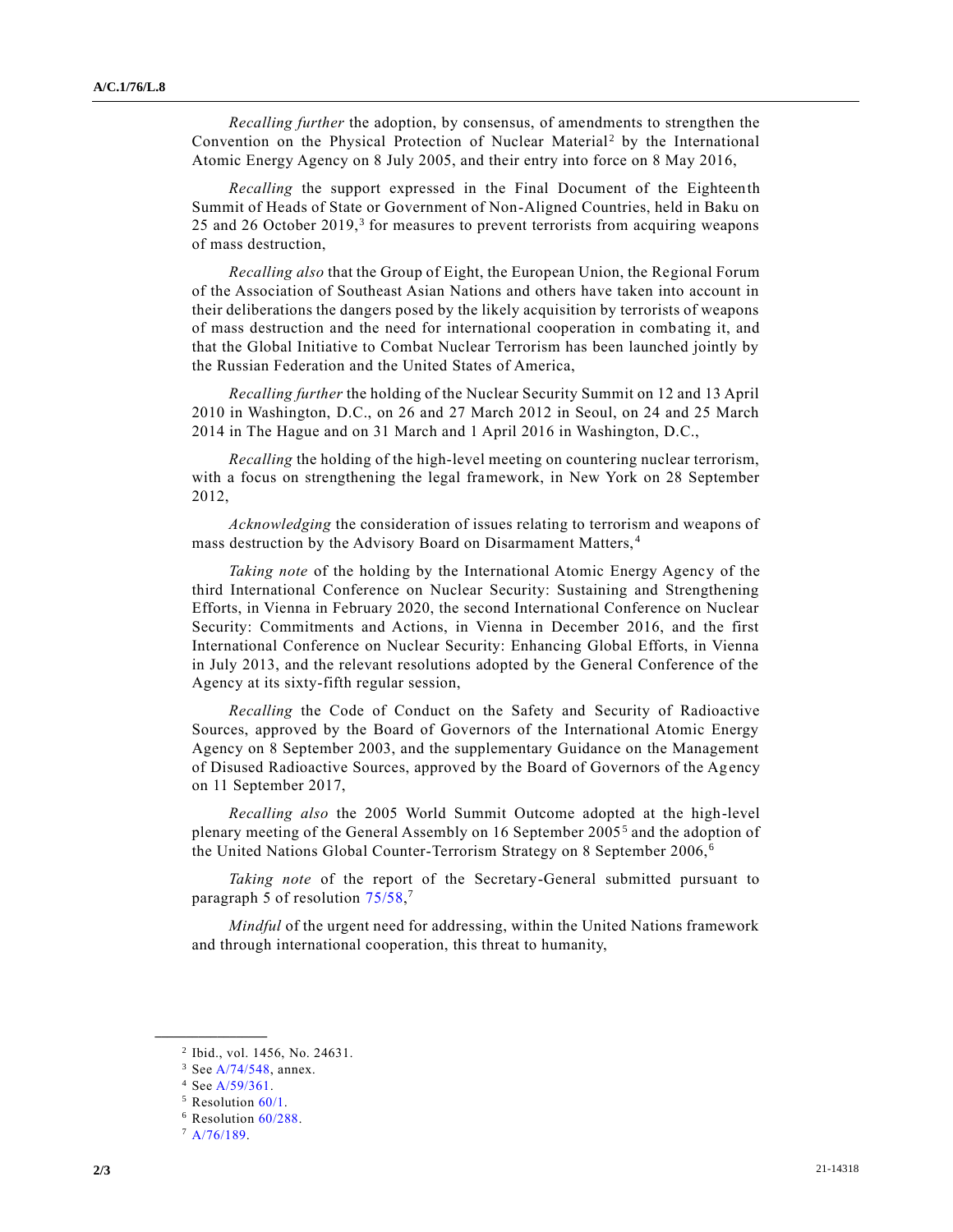*Recalling further* the adoption, by consensus, of amendments to strengthen the Convention on the Physical Protection of Nuclear Material<sup>2</sup> by the International Atomic Energy Agency on 8 July 2005, and their entry into force on 8 May 2016,

*Recalling* the support expressed in the Final Document of the Eighteenth Summit of Heads of State or Government of Non-Aligned Countries, held in Baku on 25 and 26 October 2019, $3$  for measures to prevent terrorists from acquiring weapons of mass destruction,

*Recalling also* that the Group of Eight, the European Union, the Regional Forum of the Association of Southeast Asian Nations and others have taken into account in their deliberations the dangers posed by the likely acquisition by terrorists of weapons of mass destruction and the need for international cooperation in combating it, and that the Global Initiative to Combat Nuclear Terrorism has been launched jointly by the Russian Federation and the United States of America,

*Recalling further* the holding of the Nuclear Security Summit on 12 and 13 April 2010 in Washington, D.C., on 26 and 27 March 2012 in Seoul, on 24 and 25 March 2014 in The Hague and on 31 March and 1 April 2016 in Washington, D.C.,

*Recalling* the holding of the high-level meeting on countering nuclear terrorism, with a focus on strengthening the legal framework, in New York on 28 September 2012,

*Acknowledging* the consideration of issues relating to terrorism and weapons of mass destruction by the Advisory Board on Disarmament Matters, <sup>4</sup>

*Taking note* of the holding by the International Atomic Energy Agency of the third International Conference on Nuclear Security: Sustaining and Strengthening Efforts, in Vienna in February 2020, the second International Conference on Nuclear Security: Commitments and Actions, in Vienna in December 2016, and the first International Conference on Nuclear Security: Enhancing Global Efforts, in Vienna in July 2013, and the relevant resolutions adopted by the General Conference of the Agency at its sixty-fifth regular session,

*Recalling* the Code of Conduct on the Safety and Security of Radioactive Sources, approved by the Board of Governors of the International Atomic Energy Agency on 8 September 2003, and the supplementary Guidance on the Management of Disused Radioactive Sources, approved by the Board of Governors of the Ag ency on 11 September 2017,

*Recalling also* the 2005 World Summit Outcome adopted at the high-level plenary meeting of the General Assembly on 16 September 2005<sup>5</sup> and the adoption of the United Nations Global Counter-Terrorism Strategy on 8 September 2006, <sup>6</sup>

*Taking note* of the report of the Secretary-General submitted pursuant to paragraph 5 of resolution [75/58,](https://undocs.org/en/A/RES/75/58)<sup>7</sup>

*Mindful* of the urgent need for addressing, within the United Nations framework and through international cooperation, this threat to humanity,

**\_\_\_\_\_\_\_\_\_\_\_\_\_\_\_\_\_\_**

<sup>2</sup> Ibid., vol. 1456, No. 24631.

<sup>3</sup> Se[e A/74/548,](https://undocs.org/en/A/74/548) annex.

<sup>4</sup> Se[e A/59/361.](https://undocs.org/en/A/59/361)

<sup>&</sup>lt;sup>5</sup> Resolution [60/1.](https://undocs.org/en/A/RES/60/1)

<sup>6</sup> Resolution [60/288.](https://undocs.org/en/A/RES/60/288)

 $7 A/76/189.$  $7 A/76/189.$